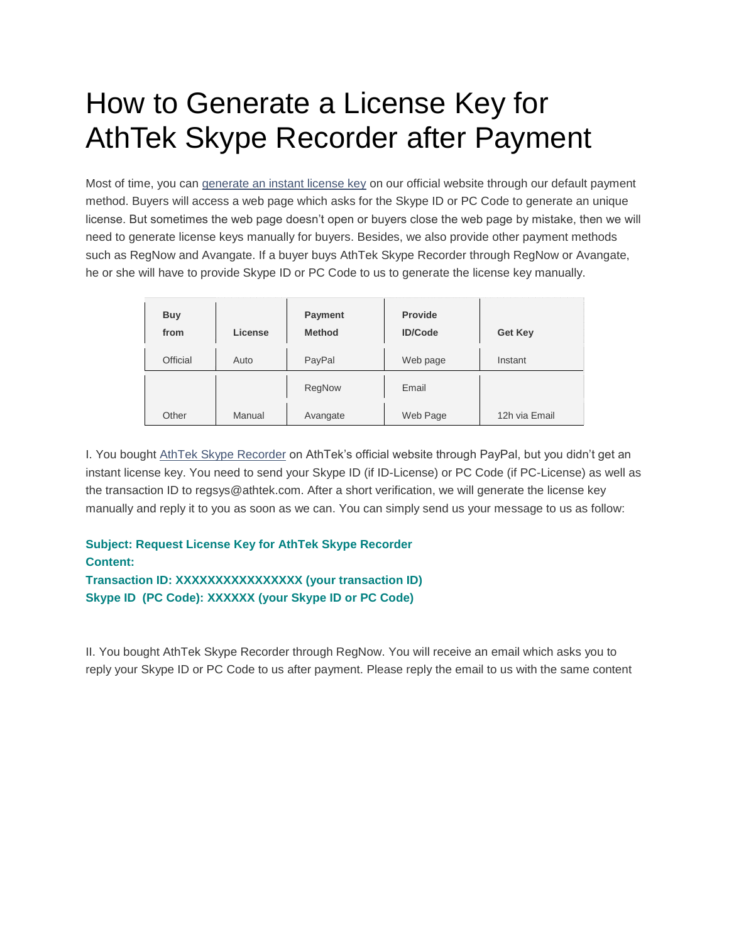## How to Generate a License Key for AthTek Skype Recorder after Payment

Most of time, you can [generate an instant license key](http://www.athtek.com/blog/2014/01/27/how-to-generate-an-instant-license-key-for-athtek-skype-recorder/) on our official website through our default payment method. Buyers will access a web page which asks for the Skype ID or PC Code to generate an unique license. But sometimes the web page doesn't open or buyers close the web page by mistake, then we will need to generate license keys manually for buyers. Besides, we also provide other payment methods such as RegNow and Avangate. If a buyer buys AthTek Skype Recorder through RegNow or Avangate, he or she will have to provide Skype ID or PC Code to us to generate the license key manually.

| <b>Buy</b><br>from | License | <b>Payment</b><br><b>Method</b> | <b>Provide</b><br><b>ID/Code</b> | <b>Get Key</b> |
|--------------------|---------|---------------------------------|----------------------------------|----------------|
| Official           | Auto    | PayPal                          | Web page                         | Instant        |
|                    |         | RegNow                          | Email                            |                |
| Other              | Manual  | Avangate                        | Web Page                         | 12h via Email  |

I. You bought [AthTek Skype Recorder](http://www.athtek.com/blog/2012/08/14/athtek-skype-recorder-v5-9-has-been-released/) on AthTek's official website through PayPal, but you didn't get an instant license key. You need to send your Skype ID (if ID-License) or PC Code (if PC-License) as well as the transaction ID to regsys@athtek.com. After a short verification, we will generate the license key manually and reply it to you as soon as we can. You can simply send us your message to us as follow:

## **Subject: Request License Key for AthTek Skype Recorder Content: Transaction ID: XXXXXXXXXXXXXXXX (your transaction ID) Skype ID (PC Code): XXXXXX (your Skype ID or PC Code)**

II. You bought AthTek Skype Recorder through RegNow. You will receive an email which asks you to reply your Skype ID or PC Code to us after payment. Please reply the email to us with the same content